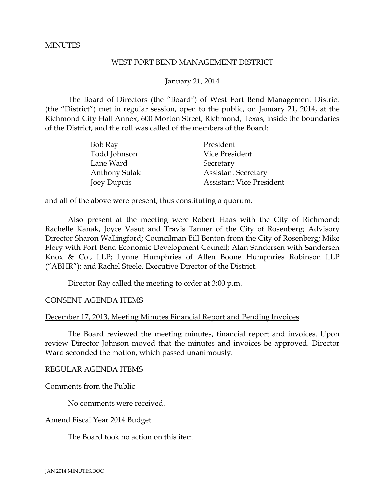### **MINUTES**

### WEST FORT BEND MANAGEMENT DISTRICT

### January 21, 2014

The Board of Directors (the "Board") of West Fort Bend Management District (the "District") met in regular session, open to the public, on January 21, 2014, at the Richmond City Hall Annex, 600 Morton Street, Richmond, Texas, inside the boundaries of the District, and the roll was called of the members of the Board:

| Bob Ray              | President                       |
|----------------------|---------------------------------|
| Todd Johnson         | Vice President                  |
| Lane Ward            | Secretary                       |
| <b>Anthony Sulak</b> | <b>Assistant Secretary</b>      |
| Joey Dupuis          | <b>Assistant Vice President</b> |

and all of the above were present, thus constituting a quorum.

Also present at the meeting were Robert Haas with the City of Richmond; Rachelle Kanak, Joyce Vasut and Travis Tanner of the City of Rosenberg; Advisory Director Sharon Wallingford; Councilman Bill Benton from the City of Rosenberg; Mike Flory with Fort Bend Economic Development Council; Alan Sandersen with Sandersen Knox & Co., LLP; Lynne Humphries of Allen Boone Humphries Robinson LLP ("ABHR"); and Rachel Steele, Executive Director of the District.

Director Ray called the meeting to order at 3:00 p.m.

#### CONSENT AGENDA ITEMS

#### December 17, 2013, Meeting Minutes Financial Report and Pending Invoices

The Board reviewed the meeting minutes, financial report and invoices. Upon review Director Johnson moved that the minutes and invoices be approved. Director Ward seconded the motion, which passed unanimously.

#### REGULAR AGENDA ITEMS

#### Comments from the Public

No comments were received.

#### Amend Fiscal Year 2014 Budget

The Board took no action on this item.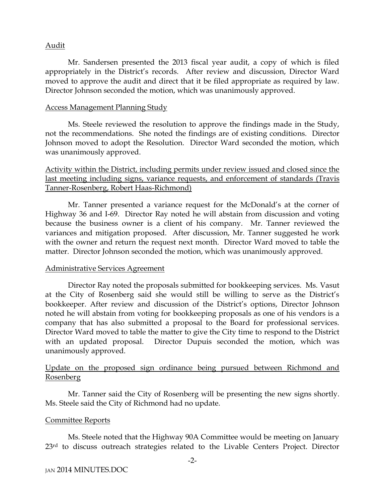### Audit

Mr. Sandersen presented the 2013 fiscal year audit, a copy of which is filed appropriately in the District's records. After review and discussion, Director Ward moved to approve the audit and direct that it be filed appropriate as required by law. Director Johnson seconded the motion, which was unanimously approved.

### Access Management Planning Study

Ms. Steele reviewed the resolution to approve the findings made in the Study, not the recommendations. She noted the findings are of existing conditions. Director Johnson moved to adopt the Resolution. Director Ward seconded the motion, which was unanimously approved.

## Activity within the District, including permits under review issued and closed since the last meeting including signs, variance requests, and enforcement of standards (Travis Tanner-Rosenberg, Robert Haas-Richmond)

Mr. Tanner presented a variance request for the McDonald's at the corner of Highway 36 and I-69. Director Ray noted he will abstain from discussion and voting because the business owner is a client of his company. Mr. Tanner reviewed the variances and mitigation proposed. After discussion, Mr. Tanner suggested he work with the owner and return the request next month. Director Ward moved to table the matter. Director Johnson seconded the motion, which was unanimously approved.

## Administrative Services Agreement

Director Ray noted the proposals submitted for bookkeeping services. Ms. Vasut at the City of Rosenberg said she would still be willing to serve as the District's bookkeeper. After review and discussion of the District's options, Director Johnson noted he will abstain from voting for bookkeeping proposals as one of his vendors is a company that has also submitted a proposal to the Board for professional services. Director Ward moved to table the matter to give the City time to respond to the District with an updated proposal. Director Dupuis seconded the motion, which was unanimously approved.

# Update on the proposed sign ordinance being pursued between Richmond and Rosenberg

Mr. Tanner said the City of Rosenberg will be presenting the new signs shortly. Ms. Steele said the City of Richmond had no update.

## Committee Reports

Ms. Steele noted that the Highway 90A Committee would be meeting on January 23<sup>rd</sup> to discuss outreach strategies related to the Livable Centers Project. Director